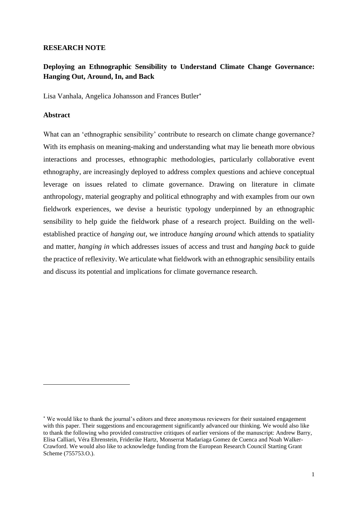# **RESEARCH NOTE**

# **Deploying an Ethnographic Sensibility to Understand Climate Change Governance: Hanging Out, Around, In, and Back**

Lisa Vanhala, Angelica Johansson and Frances Butler

# **Abstract**

What can an 'ethnographic sensibility' contribute to research on climate change governance? With its emphasis on meaning-making and understanding what may lie beneath more obvious interactions and processes, ethnographic methodologies, particularly collaborative event ethnography, are increasingly deployed to address complex questions and achieve conceptual leverage on issues related to climate governance. Drawing on literature in climate anthropology, material geography and political ethnography and with examples from our own fieldwork experiences, we devise a heuristic typology underpinned by an ethnographic sensibility to help guide the fieldwork phase of a research project. Building on the wellestablished practice of *hanging out,* we introduce *hanging around* which attends to spatiality and matter, *hanging in* which addresses issues of access and trust and *hanging back* to guide the practice of reflexivity. We articulate what fieldwork with an ethnographic sensibility entails and discuss its potential and implications for climate governance research.

We would like to thank the journal's editors and three anonymous reviewers for their sustained engagement with this paper. Their suggestions and encouragement significantly advanced our thinking. We would also like to thank the following who provided constructive critiques of earlier versions of the manuscript: Andrew Barry, Elisa Calliari, Véra Ehrenstein, Friderike Hartz, Monserrat Madariaga Gomez de Cuenca and Noah Walker-Crawford. We would also like to acknowledge funding from the European Research Council Starting Grant Scheme (755753.O.).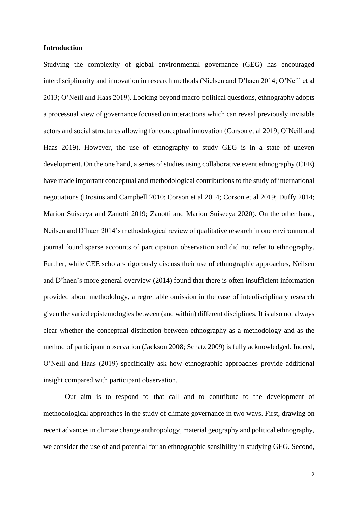#### **Introduction**

Studying the complexity of global environmental governance (GEG) has encouraged interdisciplinarity and innovation in research methods (Nielsen and D'haen 2014; O'Neill et al 2013; O'Neill and Haas 2019). Looking beyond macro-political questions, ethnography adopts a processual view of governance focused on interactions which can reveal previously invisible actors and social structures allowing for conceptual innovation (Corson et al 2019; O'Neill and Haas 2019). However, the use of ethnography to study GEG is in a state of uneven development. On the one hand, a series of studies using collaborative event ethnography (CEE) have made important conceptual and methodological contributions to the study of international negotiations (Brosius and Campbell 2010; Corson et al 2014; Corson et al 2019; Duffy 2014; Marion Suiseeya and Zanotti 2019; Zanotti and Marion Suiseeya 2020). On the other hand, Neilsen and D'haen 2014's methodological review of qualitative research in one environmental journal found sparse accounts of participation observation and did not refer to ethnography. Further, while CEE scholars rigorously discuss their use of ethnographic approaches, Neilsen and D'haen's more general overview (2014) found that there is often insufficient information provided about methodology, a regrettable omission in the case of interdisciplinary research given the varied epistemologies between (and within) different disciplines. It is also not always clear whether the conceptual distinction between ethnography as a methodology and as the method of participant observation (Jackson 2008; Schatz 2009) is fully acknowledged. Indeed, O'Neill and Haas (2019) specifically ask how ethnographic approaches provide additional insight compared with participant observation.

Our aim is to respond to that call and to contribute to the development of methodological approaches in the study of climate governance in two ways. First, drawing on recent advances in climate change anthropology, material geography and political ethnography, we consider the use of and potential for an ethnographic sensibility in studying GEG. Second,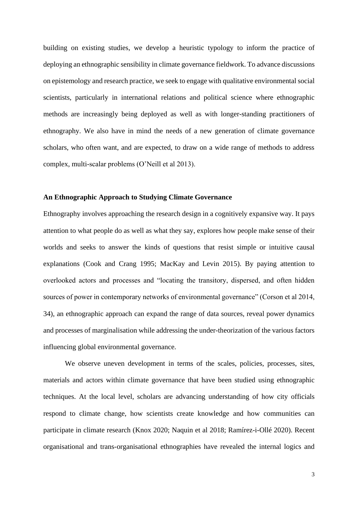building on existing studies, we develop a heuristic typology to inform the practice of deploying an ethnographic sensibility in climate governance fieldwork. To advance discussions on epistemology and research practice, we seek to engage with qualitative environmental social scientists, particularly in international relations and political science where ethnographic methods are increasingly being deployed as well as with longer-standing practitioners of ethnography. We also have in mind the needs of a new generation of climate governance scholars, who often want, and are expected, to draw on a wide range of methods to address complex, multi-scalar problems (O'Neill et al 2013).

#### **An Ethnographic Approach to Studying Climate Governance**

Ethnography involves approaching the research design in a cognitively expansive way. It pays attention to what people do as well as what they say, explores how people make sense of their worlds and seeks to answer the kinds of questions that resist simple or intuitive causal explanations (Cook and Crang 1995; MacKay and Levin 2015). By paying attention to overlooked actors and processes and "locating the transitory, dispersed, and often hidden sources of power in contemporary networks of environmental governance" (Corson et al 2014, 34), an ethnographic approach can expand the range of data sources, reveal power dynamics and processes of marginalisation while addressing the under-theorization of the various factors influencing global environmental governance.

We observe uneven development in terms of the scales, policies, processes, sites, materials and actors within climate governance that have been studied using ethnographic techniques. At the local level, scholars are advancing understanding of how city officials respond to climate change, how scientists create knowledge and how communities can participate in climate research (Knox 2020; Naquin et al 2018; Ramírez-i-Ollé 2020). Recent organisational and trans-organisational ethnographies have revealed the internal logics and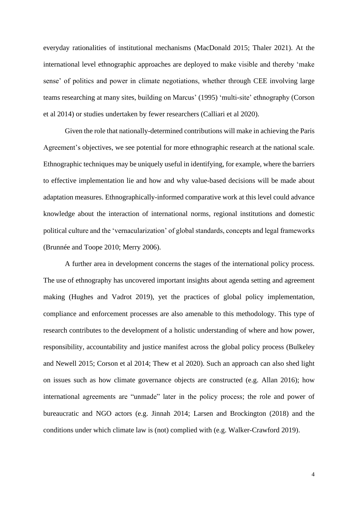everyday rationalities of institutional mechanisms (MacDonald 2015; Thaler 2021). At the international level ethnographic approaches are deployed to make visible and thereby 'make sense' of politics and power in climate negotiations, whether through CEE involving large teams researching at many sites, building on Marcus' (1995) 'multi-site' ethnography (Corson et al 2014) or studies undertaken by fewer researchers (Calliari et al 2020).

Given the role that nationally-determined contributions will make in achieving the Paris Agreement's objectives, we see potential for more ethnographic research at the national scale. Ethnographic techniques may be uniquely useful in identifying, for example, where the barriers to effective implementation lie and how and why value-based decisions will be made about adaptation measures. Ethnographically-informed comparative work at this level could advance knowledge about the interaction of international norms, regional institutions and domestic political culture and the 'vernacularization' of global standards, concepts and legal frameworks (Brunnée and Toope 2010; Merry 2006).

A further area in development concerns the stages of the international policy process. The use of ethnography has uncovered important insights about agenda setting and agreement making (Hughes and Vadrot 2019), yet the practices of global policy implementation, compliance and enforcement processes are also amenable to this methodology. This type of research contributes to the development of a holistic understanding of where and how power, responsibility, accountability and justice manifest across the global policy process (Bulkeley and Newell 2015; Corson et al 2014; Thew et al 2020). Such an approach can also shed light on issues such as how climate governance objects are constructed (e.g. Allan 2016); how international agreements are "unmade" later in the policy process; the role and power of bureaucratic and NGO actors (e.g. Jinnah 2014; Larsen and Brockington (2018) and the conditions under which climate law is (not) complied with (e.g. Walker-Crawford 2019).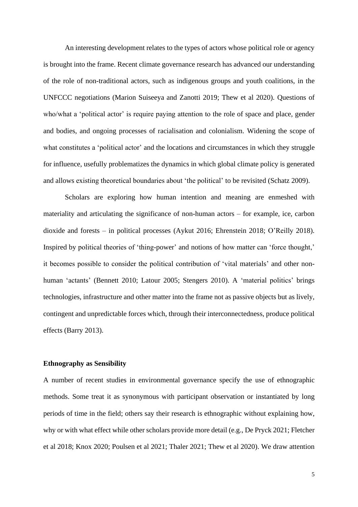An interesting development relates to the types of actors whose political role or agency is brought into the frame. Recent climate governance research has advanced our understanding of the role of non-traditional actors, such as indigenous groups and youth coalitions, in the UNFCCC negotiations (Marion Suiseeya and Zanotti 2019; Thew et al 2020). Questions of who/what a 'political actor' is require paying attention to the role of space and place, gender and bodies, and ongoing processes of racialisation and colonialism. Widening the scope of what constitutes a 'political actor' and the locations and circumstances in which they struggle for influence, usefully problematizes the dynamics in which global climate policy is generated and allows existing theoretical boundaries about 'the political' to be revisited (Schatz 2009).

Scholars are exploring how human intention and meaning are enmeshed with materiality and articulating the significance of non-human actors – for example, ice, carbon dioxide and forests – in political processes (Aykut 2016; Ehrenstein 2018; O'Reilly 2018). Inspired by political theories of 'thing-power' and notions of how matter can 'force thought,' it becomes possible to consider the political contribution of 'vital materials' and other nonhuman 'actants' (Bennett 2010; Latour 2005; Stengers 2010). A 'material politics' brings technologies, infrastructure and other matter into the frame not as passive objects but as lively, contingent and unpredictable forces which, through their interconnectedness, produce political effects (Barry 2013).

## **Ethnography as Sensibility**

A number of recent studies in environmental governance specify the use of ethnographic methods. Some treat it as synonymous with participant observation or instantiated by long periods of time in the field; others say their research is ethnographic without explaining how, why or with what effect while other scholars provide more detail (e.g., De Pryck 2021; Fletcher et al 2018; Knox 2020; Poulsen et al 2021; Thaler 2021; Thew et al 2020). We draw attention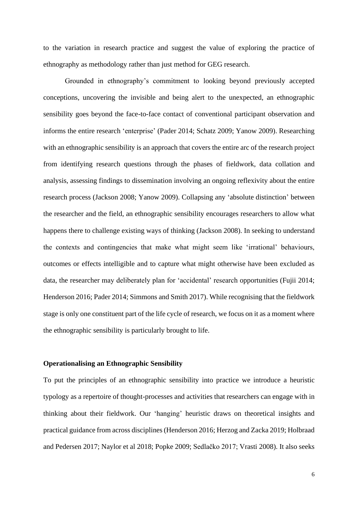to the variation in research practice and suggest the value of exploring the practice of ethnography as methodology rather than just method for GEG research.

Grounded in ethnography's commitment to looking beyond previously accepted conceptions, uncovering the invisible and being alert to the unexpected, an ethnographic sensibility goes beyond the face-to-face contact of conventional participant observation and informs the entire research 'enterprise' (Pader 2014; Schatz 2009; Yanow 2009). Researching with an ethnographic sensibility is an approach that covers the entire arc of the research project from identifying research questions through the phases of fieldwork, data collation and analysis, assessing findings to dissemination involving an ongoing reflexivity about the entire research process (Jackson 2008; Yanow 2009). Collapsing any 'absolute distinction' between the researcher and the field, an ethnographic sensibility encourages researchers to allow what happens there to challenge existing ways of thinking (Jackson 2008). In seeking to understand the contexts and contingencies that make what might seem like 'irrational' behaviours, outcomes or effects intelligible and to capture what might otherwise have been excluded as data, the researcher may deliberately plan for 'accidental' research opportunities (Fujii 2014; Henderson 2016; Pader 2014; Simmons and Smith 2017). While recognising that the fieldwork stage is only one constituent part of the life cycle of research, we focus on it as a moment where the ethnographic sensibility is particularly brought to life.

## **Operationalising an Ethnographic Sensibility**

To put the principles of an ethnographic sensibility into practice we introduce a heuristic typology as a repertoire of thought-processes and activities that researchers can engage with in thinking about their fieldwork. Our 'hanging' heuristic draws on theoretical insights and practical guidance from across disciplines(Henderson 2016; Herzog and Zacka 2019; Holbraad and Pedersen 2017; Naylor et al 2018; Popke 2009; Sedlačko 2017; Vrasti 2008). It also seeks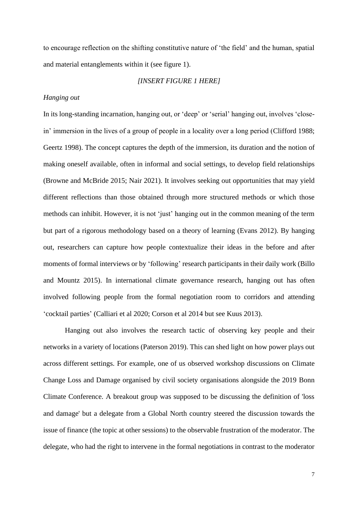to encourage reflection on the shifting constitutive nature of 'the field' and the human, spatial and material entanglements within it (see figure 1).

## *[INSERT FIGURE 1 HERE]*

## *Hanging out*

In its long-standing incarnation, hanging out, or 'deep' or 'serial' hanging out, involves 'closein' immersion in the lives of a group of people in a locality over a long period (Clifford 1988; Geertz 1998). The concept captures the depth of the immersion, its duration and the notion of making oneself available, often in informal and social settings, to develop field relationships (Browne and McBride 2015; Nair 2021). It involves seeking out opportunities that may yield different reflections than those obtained through more structured methods or which those methods can inhibit. However, it is not 'just' hanging out in the common meaning of the term but part of a rigorous methodology based on a theory of learning (Evans 2012). By hanging out, researchers can capture how people contextualize their ideas in the before and after moments of formal interviews or by 'following' research participants in their daily work (Billo and Mountz 2015). In international climate governance research, hanging out has often involved following people from the formal negotiation room to corridors and attending 'cocktail parties' (Calliari et al 2020; Corson et al 2014 but see Kuus 2013).

Hanging out also involves the research tactic of observing key people and their networks in a variety of locations (Paterson 2019). This can shed light on how power plays out across different settings. For example, one of us observed workshop discussions on Climate Change Loss and Damage organised by civil society organisations alongside the 2019 Bonn Climate Conference. A breakout group was supposed to be discussing the definition of 'loss and damage' but a delegate from a Global North country steered the discussion towards the issue of finance (the topic at other sessions) to the observable frustration of the moderator. The delegate, who had the right to intervene in the formal negotiations in contrast to the moderator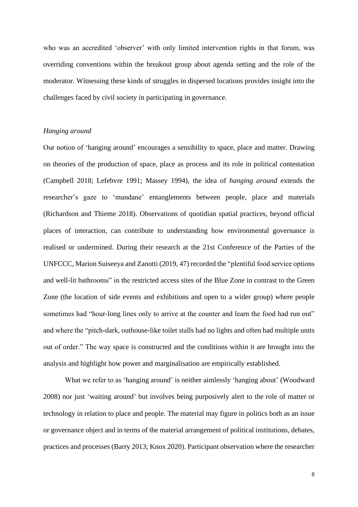who was an accredited 'observer' with only limited intervention rights in that forum, was overriding conventions within the breakout group about agenda setting and the role of the moderator. Witnessing these kinds of struggles in dispersed locations provides insight into the challenges faced by civil society in participating in governance.

## *Hanging around*

Our notion of 'hanging around' encourages a sensibility to space, place and matter. Drawing on theories of the production of space, place as process and its role in political contestation (Campbell 2018; Lefebvre 1991; Massey 1994), the idea of *hanging around* extends the researcher's gaze to 'mundane' entanglements between people, place and materials (Richardson and Thieme 2018). Observations of quotidian spatial practices, beyond official places of interaction, can contribute to understanding how environmental governance is realised or undermined. During their research at the 21st Conference of the Parties of the UNFCCC, Marion Suiseeya and Zanotti (2019, 47) recorded the "plentiful food service options and well-lit bathrooms" in the restricted access sites of the Blue Zone in contrast to the Green Zone (the location of side events and exhibitions and open to a wider group) where people sometimes had "hour-long lines only to arrive at the counter and learn the food had run out" and where the "pitch-dark, outhouse-like toilet stalls had no lights and often had multiple units out of order." The way space is constructed and the conditions within it are brought into the analysis and highlight how power and marginalisation are empirically established.

What we refer to as 'hanging around' is neither aimlessly 'hanging about' (Woodward 2008) nor just 'waiting around' but involves being purposively alert to the role of matter or technology in relation to place and people. The material may figure in politics both as an issue or governance object and in terms of the material arrangement of political institutions, debates, practices and processes (Barry 2013; Knox 2020). Participant observation where the researcher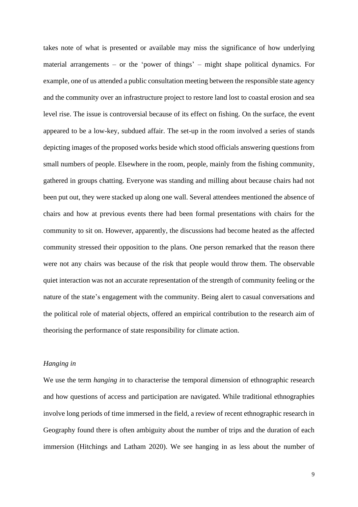takes note of what is presented or available may miss the significance of how underlying material arrangements – or the 'power of things' – might shape political dynamics. For example, one of us attended a public consultation meeting between the responsible state agency and the community over an infrastructure project to restore land lost to coastal erosion and sea level rise. The issue is controversial because of its effect on fishing. On the surface, the event appeared to be a low-key, subdued affair. The set-up in the room involved a series of stands depicting images of the proposed works beside which stood officials answering questions from small numbers of people. Elsewhere in the room, people, mainly from the fishing community, gathered in groups chatting. Everyone was standing and milling about because chairs had not been put out, they were stacked up along one wall. Several attendees mentioned the absence of chairs and how at previous events there had been formal presentations with chairs for the community to sit on. However, apparently, the discussions had become heated as the affected community stressed their opposition to the plans. One person remarked that the reason there were not any chairs was because of the risk that people would throw them. The observable quiet interaction was not an accurate representation of the strength of community feeling or the nature of the state's engagement with the community. Being alert to casual conversations and the political role of material objects, offered an empirical contribution to the research aim of theorising the performance of state responsibility for climate action.

## *Hanging in*

We use the term *hanging in* to characterise the temporal dimension of ethnographic research and how questions of access and participation are navigated. While traditional ethnographies involve long periods of time immersed in the field, a review of recent ethnographic research in Geography found there is often ambiguity about the number of trips and the duration of each immersion (Hitchings and Latham 2020). We see hanging in as less about the number of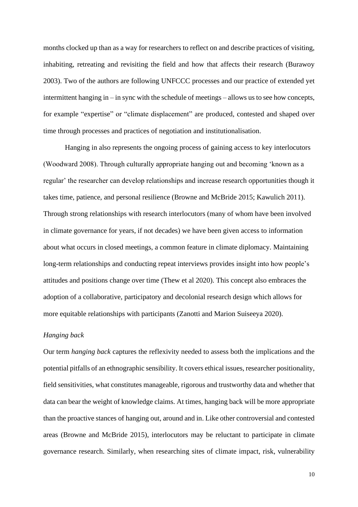months clocked up than as a way for researchers to reflect on and describe practices of visiting, inhabiting, retreating and revisiting the field and how that affects their research (Burawoy 2003). Two of the authors are following UNFCCC processes and our practice of extended yet intermittent hanging in – in sync with the schedule of meetings – allows us to see how concepts, for example "expertise" or "climate displacement" are produced, contested and shaped over time through processes and practices of negotiation and institutionalisation.

Hanging in also represents the ongoing process of gaining access to key interlocutors (Woodward 2008). Through culturally appropriate hanging out and becoming 'known as a regular' the researcher can develop relationships and increase research opportunities though it takes time, patience, and personal resilience (Browne and McBride 2015; Kawulich 2011). Through strong relationships with research interlocutors (many of whom have been involved in climate governance for years, if not decades) we have been given access to information about what occurs in closed meetings, a common feature in climate diplomacy. Maintaining long-term relationships and conducting repeat interviews provides insight into how people's attitudes and positions change over time (Thew et al 2020). This concept also embraces the adoption of a collaborative, participatory and decolonial research design which allows for more equitable relationships with participants (Zanotti and Marion Suiseeya 2020).

## *Hanging back*

Our term *hanging back* captures the reflexivity needed to assess both the implications and the potential pitfalls of an ethnographic sensibility. It covers ethical issues, researcher positionality, field sensitivities, what constitutes manageable, rigorous and trustworthy data and whether that data can bear the weight of knowledge claims. At times, hanging back will be more appropriate than the proactive stances of hanging out, around and in. Like other controversial and contested areas (Browne and McBride 2015), interlocutors may be reluctant to participate in climate governance research. Similarly, when researching sites of climate impact, risk, vulnerability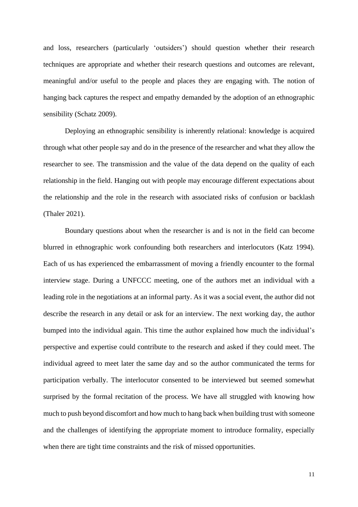and loss, researchers (particularly 'outsiders') should question whether their research techniques are appropriate and whether their research questions and outcomes are relevant, meaningful and/or useful to the people and places they are engaging with. The notion of hanging back captures the respect and empathy demanded by the adoption of an ethnographic sensibility (Schatz 2009).

Deploying an ethnographic sensibility is inherently relational: knowledge is acquired through what other people say and do in the presence of the researcher and what they allow the researcher to see. The transmission and the value of the data depend on the quality of each relationship in the field. Hanging out with people may encourage different expectations about the relationship and the role in the research with associated risks of confusion or backlash (Thaler 2021).

Boundary questions about when the researcher is and is not in the field can become blurred in ethnographic work confounding both researchers and interlocutors (Katz 1994). Each of us has experienced the embarrassment of moving a friendly encounter to the formal interview stage. During a UNFCCC meeting, one of the authors met an individual with a leading role in the negotiations at an informal party. As it was a social event, the author did not describe the research in any detail or ask for an interview. The next working day, the author bumped into the individual again. This time the author explained how much the individual's perspective and expertise could contribute to the research and asked if they could meet. The individual agreed to meet later the same day and so the author communicated the terms for participation verbally. The interlocutor consented to be interviewed but seemed somewhat surprised by the formal recitation of the process. We have all struggled with knowing how much to push beyond discomfort and how much to hang back when building trust with someone and the challenges of identifying the appropriate moment to introduce formality, especially when there are tight time constraints and the risk of missed opportunities.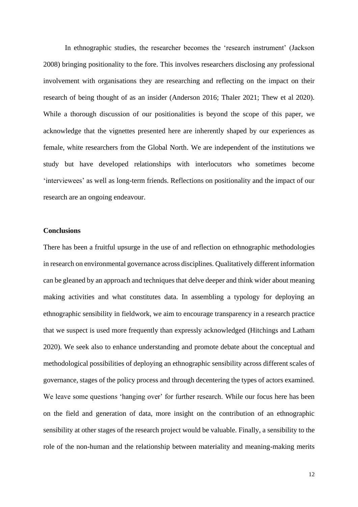In ethnographic studies, the researcher becomes the 'research instrument' (Jackson 2008) bringing positionality to the fore. This involves researchers disclosing any professional involvement with organisations they are researching and reflecting on the impact on their research of being thought of as an insider (Anderson 2016; Thaler 2021; Thew et al 2020). While a thorough discussion of our positionalities is beyond the scope of this paper, we acknowledge that the vignettes presented here are inherently shaped by our experiences as female, white researchers from the Global North. We are independent of the institutions we study but have developed relationships with interlocutors who sometimes become 'interviewees' as well as long-term friends. Reflections on positionality and the impact of our research are an ongoing endeavour.

# **Conclusions**

There has been a fruitful upsurge in the use of and reflection on ethnographic methodologies in research on environmental governance across disciplines. Qualitatively different information can be gleaned by an approach and techniques that delve deeper and think wider about meaning making activities and what constitutes data. In assembling a typology for deploying an ethnographic sensibility in fieldwork, we aim to encourage transparency in a research practice that we suspect is used more frequently than expressly acknowledged (Hitchings and Latham 2020). We seek also to enhance understanding and promote debate about the conceptual and methodological possibilities of deploying an ethnographic sensibility across different scales of governance, stages of the policy process and through decentering the types of actors examined. We leave some questions 'hanging over' for further research. While our focus here has been on the field and generation of data, more insight on the contribution of an ethnographic sensibility at other stages of the research project would be valuable. Finally, a sensibility to the role of the non-human and the relationship between materiality and meaning-making merits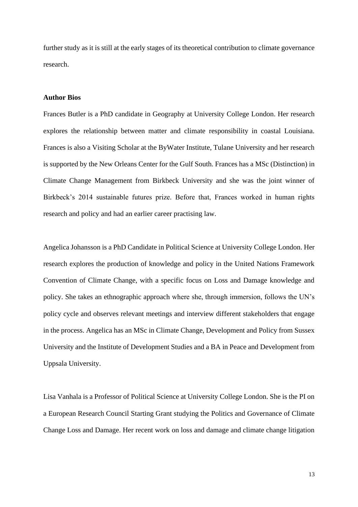further study as it is still at the early stages of its theoretical contribution to climate governance research.

#### **Author Bios**

Frances Butler is a PhD candidate in Geography at University College London. Her research explores the relationship between matter and climate responsibility in coastal Louisiana. Frances is also a Visiting Scholar at the ByWater Institute, Tulane University and her research is supported by the New Orleans Center for the Gulf South. Frances has a MSc (Distinction) in Climate Change Management from Birkbeck University and she was the joint winner of Birkbeck's 2014 sustainable futures prize. Before that, Frances worked in human rights research and policy and had an earlier career practising law.

Angelica Johansson is a PhD Candidate in Political Science at University College London. Her research explores the production of knowledge and policy in the United Nations Framework Convention of Climate Change, with a specific focus on Loss and Damage knowledge and policy. She takes an ethnographic approach where she, through immersion, follows the UN's policy cycle and observes relevant meetings and interview different stakeholders that engage in the process. Angelica has an MSc in Climate Change, Development and Policy from Sussex University and the Institute of Development Studies and a BA in Peace and Development from Uppsala University.

Lisa Vanhala is a Professor of Political Science at University College London. She is the PI on a European Research Council Starting Grant studying the Politics and Governance of Climate Change Loss and Damage. Her recent work on loss and damage and climate change litigation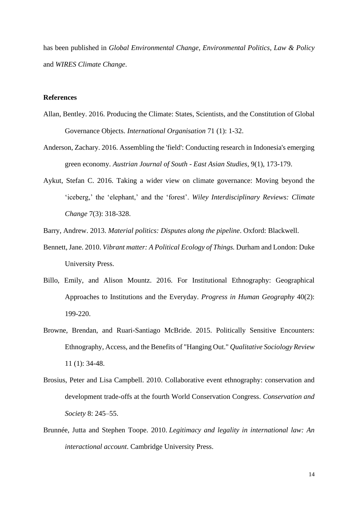has been published in *Global Environmental Change*, *Environmental Politics*, *Law & Policy*  and *WIRES Climate Change*.

# **References**

- Allan, Bentley. 2016. Producing the Climate: States, Scientists, and the Constitution of Global Governance Objects. *International Organisation* 71 (1): 1-32.
- Anderson, Zachary. 2016. Assembling the 'field': Conducting research in Indonesia's emerging green economy. *Austrian Journal of South - East Asian Studies*, 9(1), 173-179.
- Aykut, Stefan C. 2016. Taking a wider view on climate governance: Moving beyond the 'iceberg,' the 'elephant,' and the 'forest'. *Wiley Interdisciplinary Reviews: Climate Change* 7(3): 318-328.
- Barry, Andrew. 2013. *Material politics: Disputes along the pipeline*. Oxford: Blackwell.
- Bennett, Jane. 2010. *Vibrant matter: A Political Ecology of Things.* Durham and London: Duke University Press.
- Billo, Emily, and Alison Mountz. 2016. For Institutional Ethnography: Geographical Approaches to Institutions and the Everyday. *Progress in Human Geography* 40(2): 199-220.
- Browne, Brendan, and Ruari-Santiago McBride. 2015. Politically Sensitive Encounters: Ethnography, Access, and the Benefits of "Hanging Out." *Qualitative Sociology Review* 11 (1): 34-48.
- Brosius, Peter and Lisa Campbell. 2010. Collaborative event ethnography: conservation and development trade-offs at the fourth World Conservation Congress. *Conservation and Society* 8: 245–55.
- Brunnée, Jutta and Stephen Toope. 2010. *Legitimacy and legality in international law: An interactional account*. Cambridge University Press.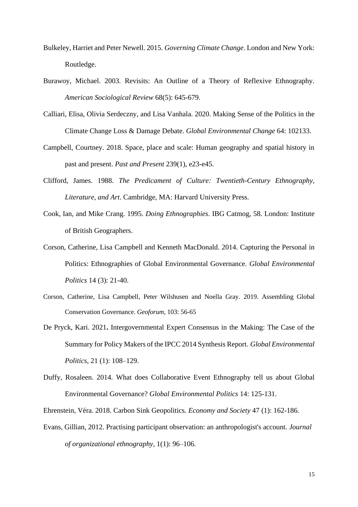- Bulkeley, Harriet and Peter Newell. 2015. *Governing Climate Change*. London and New York: Routledge.
- Burawoy, Michael. 2003. Revisits: An Outline of a Theory of Reflexive Ethnography. *American Sociological Review* 68(5): 645-679.
- Calliari, Elisa, Olivia Serdeczny, and Lisa Vanhala. 2020. Making Sense of the Politics in the Climate Change Loss & Damage Debate. *Global Environmental Change* 64: 102133.
- Campbell, Courtney. 2018. Space, place and scale: Human geography and spatial history in past and present. *Past and Present* 239(1), e23-e45.
- Clifford, James. 1988. *The Predicament of Culture: Twentieth-Century Ethnography, Literature, and Art*. Cambridge, MA: Harvard University Press.
- Cook, Ian, and Mike Crang. 1995. *Doing Ethnographies*. IBG Catmog, 58. London: Institute of British Geographers.
- Corson, Catherine, Lisa Campbell and Kenneth MacDonald. 2014. Capturing the Personal in Politics: Ethnographies of Global Environmental Governance. *Global Environmental Politics* 14 (3): 21-40.
- Corson, Catherine, Lisa Campbell, Peter Wilshusen and Noella Gray. 2019. Assembling Global Conservation Governance. *Geoforum,* 103: 56-65
- De Pryck, Kari. 2021**.** Intergovernmental Expert Consensus in the Making: The Case of the Summary for Policy Makers of the IPCC 2014 Synthesis Report. *Global Environmental Politics*, 21 (1): 108–129.
- Duffy, Rosaleen. 2014. What does Collaborative Event Ethnography tell us about Global Environmental Governance? *Global Environmental Politics* 14: 125-131.
- Ehrenstein, Véra. 2018. Carbon Sink Geopolitics. *Economy and Society* 47 (1): 162-186.
- Evans, Gillian, 2012. Practising participant observation: an anthropologist's account. *Journal of organizational ethnography*, 1(1): 96–106.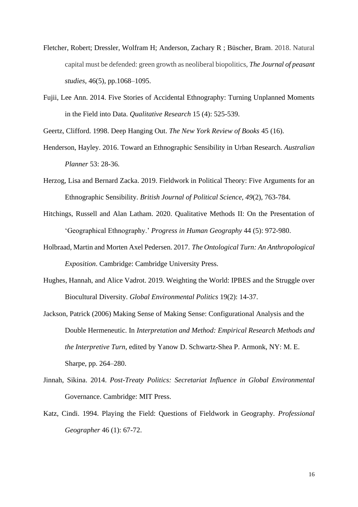- Fletcher, Robert; Dressler, Wolfram H; Anderson, Zachary R ; Büscher, Bram. 2018. Natural capital must be defended: green growth as neoliberal biopolitics, *The Journal of peasant studies*, 46(5), pp.1068–1095.
- Fujii, Lee Ann. 2014. Five Stories of Accidental Ethnography: Turning Unplanned Moments in the Field into Data. *Qualitative Research* 15 (4): 525-539.

Geertz, Clifford. 1998. Deep Hanging Out. *The New York Review of Books* 45 (16).

- Henderson, Hayley. 2016. Toward an Ethnographic Sensibility in Urban Research. *Australian Planner* 53: 28-36.
- Herzog, Lisa and Bernard Zacka. 2019. Fieldwork in Political Theory: Five Arguments for an Ethnographic Sensibility. *British Journal of Political Science, 49*(2), 763-784.
- Hitchings, Russell and Alan Latham. 2020. Qualitative Methods II: On the Presentation of 'Geographical Ethnography.' *Progress in Human Geography* 44 (5): 972-980.
- Holbraad, Martin and Morten Axel Pedersen. 2017. *The Ontological Turn: An Anthropological Exposition*. Cambridge: Cambridge University Press.
- Hughes, Hannah, and Alice Vadrot. 2019. Weighting the World: IPBES and the Struggle over Biocultural Diversity. *Global Environmental Politics* 19(2): 14-37.
- Jackson, Patrick (2006) Making Sense of Making Sense: Configurational Analysis and the Double Hermeneutic. In *Interpretation and Method: Empirical Research Methods and the Interpretive Turn*, edited by Yanow D. Schwartz-Shea P. Armonk, NY: M. E. Sharpe, pp. 264–280.
- Jinnah, Sikina. 2014. *Post-Treaty Politics: Secretariat Influence in Global Environmental* Governance. Cambridge: MIT Press.
- Katz, Cindi. 1994. Playing the Field: Questions of Fieldwork in Geography. *Professional Geographer* 46 (1): 67-72.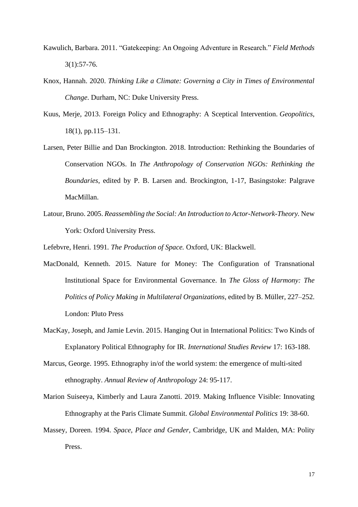- Kawulich, Barbara. 2011. "Gatekeeping: An Ongoing Adventure in Research." *Field Methods*  $3(1):57-76.$
- Knox, Hannah. 2020. *Thinking Like a Climate: Governing a City in Times of Environmental Change*. Durham, NC: Duke University Press.
- Kuus, Merje, 2013. Foreign Policy and Ethnography: A Sceptical Intervention. *Geopolitics*, 18(1), pp.115–131.
- Larsen, Peter Billie and Dan Brockington. 2018. Introduction: Rethinking the Boundaries of Conservation NGOs. In *The Anthropology of Conservation NGOs: Rethinking the Boundaries*, edited by P. B. Larsen and. Brockington, 1-17, Basingstoke: Palgrave MacMillan.
- Latour, Bruno. 2005. *Reassembling the Social: An Introduction to Actor-Network-Theory.* New York: Oxford University Press.

Lefebvre, Henri. 1991*. The Production of Space.* Oxford, UK: Blackwell.

- MacDonald, Kenneth. 2015. Nature for Money: The Configuration of Transnational Institutional Space for Environmental Governance. In *The Gloss of Harmony: The Politics of Policy Making in Multilateral Organizations*, edited by B. Müller, 227–252. London: Pluto Press
- MacKay, Joseph, and Jamie Levin. 2015. Hanging Out in International Politics: Two Kinds of Explanatory Political Ethnography for IR. *International Studies Review* 17: 163-188.
- Marcus, George. 1995. Ethnography in/of the world system: the emergence of multi-sited ethnography. *Annual Review of Anthropology* 24: 95-117.

Marion Suiseeya, Kimberly and Laura Zanotti. 2019. Making Influence Visible: Innovating Ethnography at the Paris Climate Summit. *Global Environmental Politics* 19: 38-60.

Massey, Doreen. 1994. *Space, Place and Gender,* Cambridge, UK and Malden, MA: Polity Press.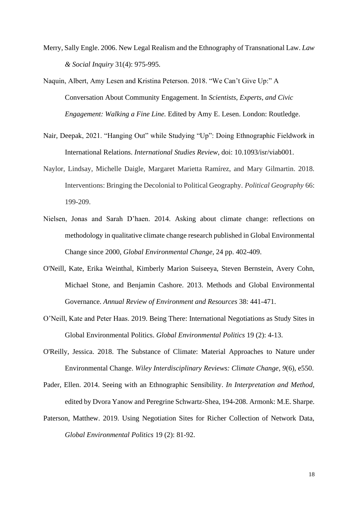- Merry, Sally Engle. 2006. New Legal Realism and the Ethnography of Transnational Law. *Law & Social Inquiry* 31(4): 975-995.
- Naquin, Albert, Amy Lesen and Kristina Peterson. 2018. "We Can't Give Up:" A Conversation About Community Engagement. In *Scientists, Experts, and Civic Engagement: Walking a Fine Line.* Edited by Amy E. Lesen. London: Routledge.
- Nair, Deepak, 2021. "Hanging Out" while Studying "Up": Doing Ethnographic Fieldwork in International Relations. *International Studies Review*, doi: 10.1093/isr/viab001.
- Naylor, Lindsay, Michelle Daigle, Margaret Marietta Ramírez, and Mary Gilmartin. 2018. Interventions: Bringing the Decolonial to Political Geography. *Political Geography* 66: 199-209.
- Nielsen, Jonas and Sarah D'haen. 2014. Asking about climate change: reflections on methodology in qualitative climate change research published in Global Environmental Change since 2000, *Global Environmental Change*, 24 pp. 402-409.
- O'Neill, Kate, Erika Weinthal, Kimberly Marion Suiseeya, Steven Bernstein, Avery Cohn, Michael Stone, and Benjamin Cashore. 2013. Methods and Global Environmental Governance. *Annual Review of Environment and Resources* 38: 441-471.
- O'Neill, Kate and Peter Haas. 2019. Being There: International Negotiations as Study Sites in Global Environmental Politics. *Global Environmental Politics* 19 (2): 4-13.
- O'Reilly, Jessica. 2018. The Substance of Climate: Material Approaches to Nature under Environmental Change. *Wiley Interdisciplinary Reviews: Climate Change*, *9*(6), e550.
- Pader, Ellen. 2014. Seeing with an Ethnographic Sensibility. *In Interpretation and Method,*  edited by Dvora Yanow and Peregrine Schwartz-Shea, 194-208. Armonk: M.E. Sharpe.
- Paterson, Matthew. 2019. Using Negotiation Sites for Richer Collection of Network Data, *Global Environmental Politics* 19 (2): 81-92.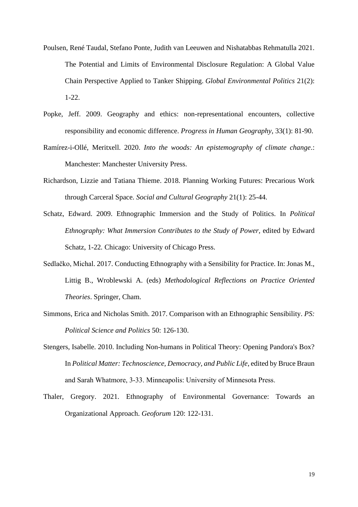- Poulsen, René Taudal, Stefano Ponte, Judith van Leeuwen and Nishatabbas Rehmatulla 2021. The Potential and Limits of Environmental Disclosure Regulation: A Global Value Chain Perspective Applied to Tanker Shipping. *Global Environmental Politics* 21(2): 1-22.
- Popke, Jeff. 2009. Geography and ethics: non-representational encounters, collective responsibility and economic difference. *Progress in Human Geography*, 33(1): 81-90.
- Ramírez-i-Ollé, Meritxell. 2020. *Into the woods: An epistemography of climate change*.: Manchester: Manchester University Press.
- Richardson, Lizzie and Tatiana Thieme. 2018. Planning Working Futures: Precarious Work through Carceral Space. *Social and Cultural Geography* 21(1): 25-44.
- Schatz, Edward. 2009. Ethnographic Immersion and the Study of Politics. In *Political Ethnography: What Immersion Contributes to the Study of Power, edited by Edward* Schatz, 1-22*.* Chicago: University of Chicago Press.
- Sedlačko, Michal. 2017. Conducting Ethnography with a Sensibility for Practice. In: Jonas M., Littig B., Wroblewski A. (eds) *Methodological Reflections on Practice Oriented Theories*. Springer, Cham.
- Simmons, Erica and Nicholas Smith. 2017. Comparison with an Ethnographic Sensibility. *PS: Political Science and Politics* 50: 126-130.
- Stengers, Isabelle. 2010. Including Non-humans in Political Theory: Opening Pandora's Box? In *Political Matter: Technoscience, Democracy, and Public Life*, edited by Bruce Braun and Sarah Whatmore, 3‐33. Minneapolis: University of Minnesota Press.
- Thaler, Gregory. 2021. Ethnography of Environmental Governance: Towards an Organizational Approach. *Geoforum* 120: 122-131.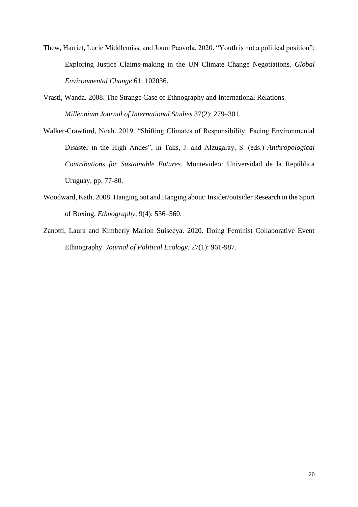- Thew, Harriet, Lucie Middlemiss, and Jouni Paavola. 2020. "Youth is not a political position": Exploring Justice Claims-making in the UN Climate Change Negotiations. *Global Environmental Change* 61: 102036.
- Vrasti, Wanda. 2008. The Strange Case of Ethnography and International Relations. *Millennium Journal of International Studies* 37(2): 279–301.
- Walker-Crawford, Noah. 2019. "Shifting Climates of Responsibility: Facing Environmental Disaster in the High Andes", in Taks, J. and Alzugaray, S. (eds.) *Anthropological Contributions for Sustainable Futures*. Montevideo: Universidad de la República Uruguay, pp. 77-80.
- Woodward, Kath. 2008. Hanging out and Hanging about: Insider/outsider Research in the Sport of Boxing. *Ethnography*, 9(4): 536–560.
- Zanotti, Laura and Kimberly Marion Suiseeya. 2020. Doing Feminist Collaborative Event Ethnography. *Journal of Political Ecology,* 27(1): 961-987.